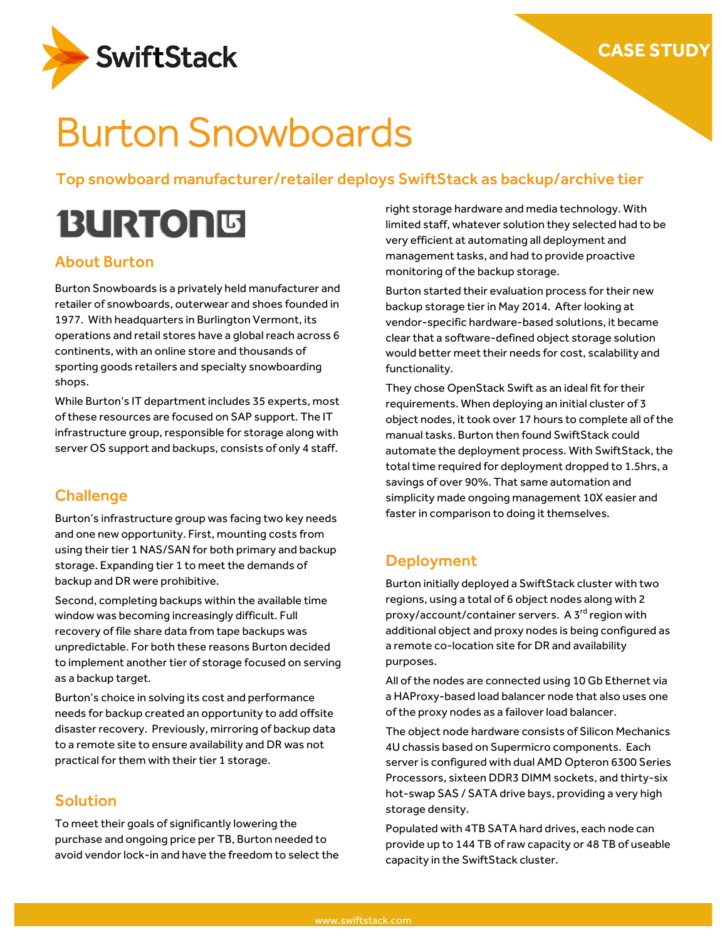

# Burton Snowboards

Top snowboard manufacturer/retailer deploys SwiftStack as backup/archive tier

# **BURTONS**

### About Burton

Burton Snowboards is a privately held manufacturer and retailer of snowboards, outerwear and shoes founded in 1977. With headquarters in Burlington Vermont, its operations and retail stores have a global reach across 6 continents, with an online store and thousands of sporting goods retailers and specialty snowboarding shops.

While Burton's IT department includes 35 experts, most of these resources are focused on SAP support. The IT infrastructure group, responsible for storage along with server OS support and backups, consists of only 4 staff.

## **Challenge**

Burton's infrastructure group was facing two key needs and one new opportunity. First, mounting costs from using their tier 1 NAS/SAN for both primary and backup storage. Expanding tier 1 to meet the demands of backup and DR were prohibitive.

Second, completing backups within the available time window was becoming increasingly difficult. Full recovery of file share data from tape backups was unpredictable. For both these reasons Burton decided to implement another tier of storage focused on serving as a backup target.

Burton's choice in solving its cost and performance needs for backup created an opportunity to add offsite disaster recovery. Previously, mirroring of backup data to a remote site to ensure availability and DR was not practical for them with their tier 1 storage.

## Solution

To meet their goals of significantly lowering the purchase and ongoing price per TB, Burton needed to avoid vendor lock-in and have the freedom to select the right storage hardware and media technology. With limited staff, whatever solution they selected had to be very efficient at automating all deployment and management tasks, and had to provide proactive monitoring of the backup storage.

Burton started their evaluation process for their new backup storage tier in May 2014. After looking at vendor-specific hardware-based solutions, it became clear that a software-defined object storage solution would better meet their needs for cost, scalability and functionality.

They chose OpenStack Swift as an ideal fit for their requirements. When deploying an initial cluster of 3 object nodes, it took over 17 hours to complete all of the manual tasks. Burton then found SwiftStack could automate the deployment process. With SwiftStack, the total time required for deployment dropped to 1.5hrs, a savings of over 90%. That same automation and simplicity made ongoing management 10X easier and faster in comparison to doing it themselves.

#### Deployment

Burton initially deployed a SwiftStack cluster with two regions, using a total of 6 object nodes along with 2 proxy/account/container servers. A 3<sup>rd</sup> region with additional object and proxy nodes is being configured as a remote co-location site for DR and availability purposes.

All of the nodes are connected using 10 Gb Ethernet via a HAProxy-based load balancer node that also uses one of the proxy nodes as a failover load balancer.

The object node hardware consists of Silicon Mechanics 4U chassis based on Supermicro components. Each server is configured with dual AMD Opteron 6300 Series Processors, sixteen DDR3 DIMM sockets, and thirty-six hot-swap SAS / SATA drive bays, providing a very high storage density.

Populated with 4TB SATA hard drives, each node can provide up to 144 TB of raw capacity or 48 TB of useable capacity in the SwiftStack cluster.